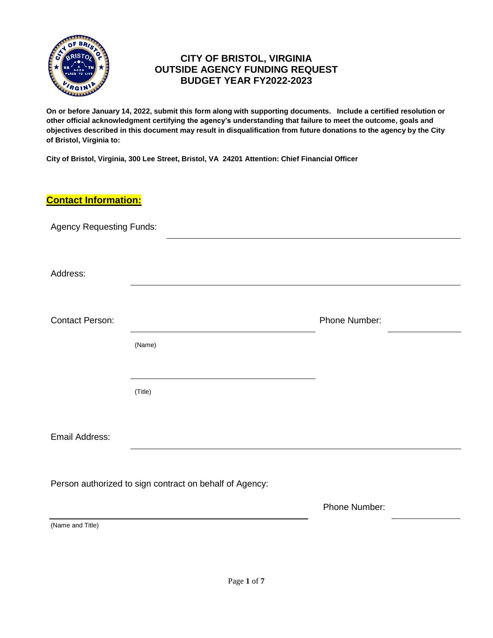

# **CITY OF BRISTOL, VIRGINIA OUTSIDE AGENCY FUNDING REQUEST BUDGET YEAR FY2022-2023**

**On or before January 14, 2022, submit this form along with supporting documents. Include a certified resolution or other official acknowledgment certifying the agency's understanding that failure to meet the outcome, goals and objectives described in this document may result in disqualification from future donations to the agency by the City of Bristol, Virginia to:**

**City of Bristol, Virginia, 300 Lee Street, Bristol, VA 24201 Attention: Chief Financial Officer**

# **Contact Information:**

| <b>Agency Requesting Funds:</b> |                                                         |               |
|---------------------------------|---------------------------------------------------------|---------------|
| Address:                        |                                                         |               |
| <b>Contact Person:</b>          |                                                         | Phone Number: |
|                                 | (Name)                                                  |               |
|                                 | (Title)                                                 |               |
| Email Address:                  |                                                         |               |
|                                 | Person authorized to sign contract on behalf of Agency: |               |
|                                 |                                                         | Phone Number: |
| (Name and Title)                |                                                         |               |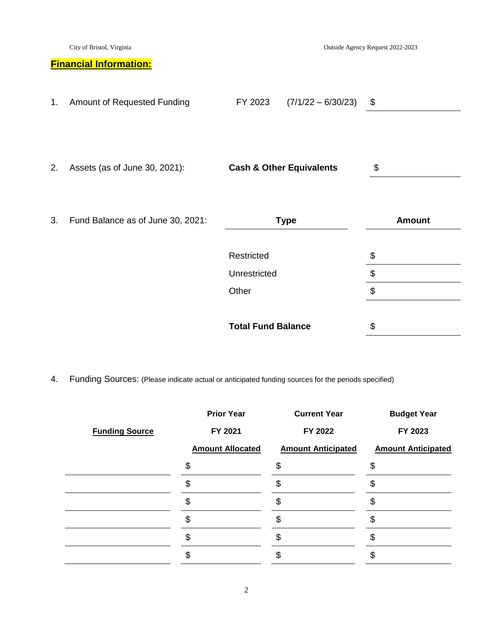| City of Bristol, Virginia |                                   | Outside Agency Request 2022-2023 |                                     |               |  |
|---------------------------|-----------------------------------|----------------------------------|-------------------------------------|---------------|--|
|                           | <b>Financial Information:</b>     |                                  |                                     |               |  |
| 1.                        | Amount of Requested Funding       | FY 2023                          | $(7/1/22 - 6/30/23)$                | \$            |  |
| 2.                        | Assets (as of June 30, 2021):     |                                  | <b>Cash &amp; Other Equivalents</b> | \$            |  |
| 3.                        | Fund Balance as of June 30, 2021: |                                  | <b>Type</b>                         | <b>Amount</b> |  |
|                           |                                   | Restricted                       |                                     | \$            |  |
|                           |                                   | Unrestricted                     |                                     | \$            |  |
|                           |                                   | Other                            |                                     | \$            |  |
|                           |                                   | <b>Total Fund Balance</b>        |                                     | \$            |  |

4. Funding Sources: (Please indicate actual or anticipated funding sources for the periods specified)

|                       | <b>Prior Year</b>       | <b>Current Year</b>       | <b>Budget Year</b>        |
|-----------------------|-------------------------|---------------------------|---------------------------|
| <b>Funding Source</b> | FY 2021                 | FY 2022                   | FY 2023                   |
|                       | <b>Amount Allocated</b> | <b>Amount Anticipated</b> | <b>Amount Anticipated</b> |
|                       | \$                      | \$                        | \$                        |
|                       | \$                      |                           | S                         |
|                       |                         |                           |                           |
|                       |                         |                           |                           |
|                       |                         |                           |                           |
|                       |                         |                           |                           |
|                       |                         |                           |                           |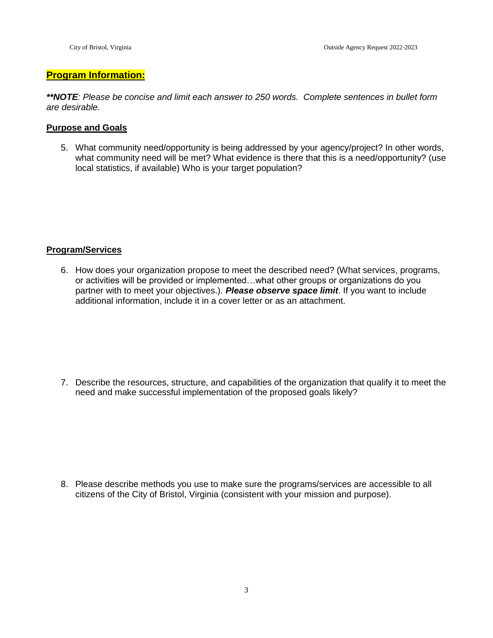### **Program Information:**

*\*\*NOTE: Please be concise and limit each answer to 250 words. Complete sentences in bullet form are desirable.*

### **Purpose and Goals**

5. What community need/opportunity is being addressed by your agency/project? In other words, what community need will be met? What evidence is there that this is a need/opportunity? (use local statistics, if available) Who is your target population?

### **Program/Services**

6. How does your organization propose to meet the described need? (What services, programs, or activities will be provided or implemented…what other groups or organizations do you partner with to meet your objectives.). *Please observe space limit*. If you want to include additional information, include it in a cover letter or as an attachment.

7. Describe the resources, structure, and capabilities of the organization that qualify it to meet the need and make successful implementation of the proposed goals likely?

8. Please describe methods you use to make sure the programs/services are accessible to all citizens of the City of Bristol, Virginia (consistent with your mission and purpose).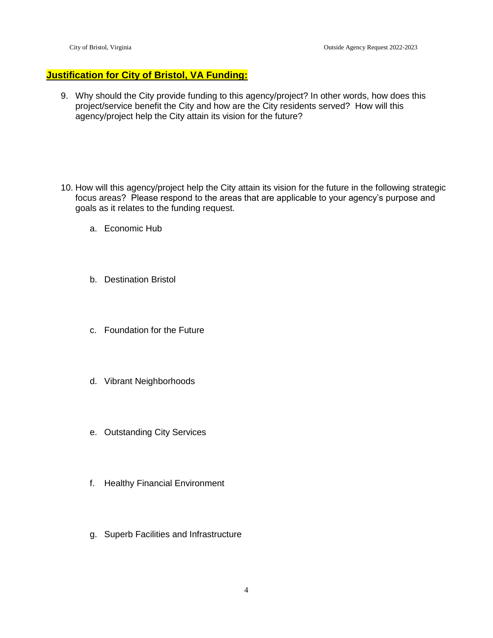# **Justification for City of Bristol, VA Funding:**

- 9. Why should the City provide funding to this agency/project? In other words, how does this project/service benefit the City and how are the City residents served? How will this agency/project help the City attain its vision for the future?
- 10. How will this agency/project help the City attain its vision for the future in the following strategic focus areas? Please respond to the areas that are applicable to your agency's purpose and goals as it relates to the funding request.
	- a. Economic Hub
	- b. Destination Bristol
	- c. Foundation for the Future
	- d. Vibrant Neighborhoods
	- e. Outstanding City Services
	- f. Healthy Financial Environment
	- g. Superb Facilities and Infrastructure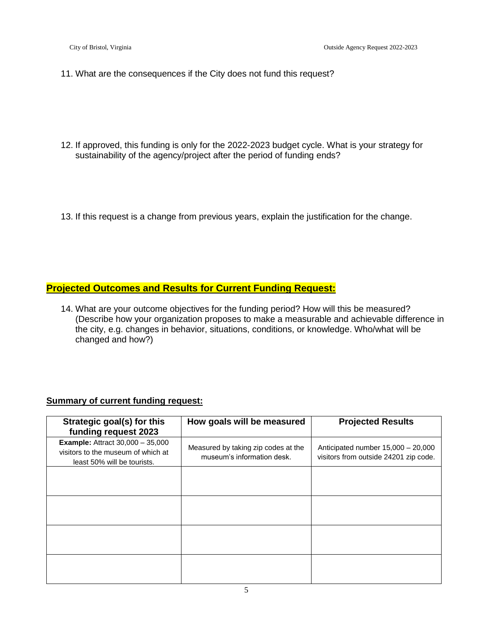- 11. What are the consequences if the City does not fund this request?
- 12. If approved, this funding is only for the 2022-2023 budget cycle. What is your strategy for sustainability of the agency/project after the period of funding ends?
- 13. If this request is a change from previous years, explain the justification for the change.

## **Projected Outcomes and Results for Current Funding Request:**

14. What are your outcome objectives for the funding period? How will this be measured? (Describe how your organization proposes to make a measurable and achievable difference in the city, e.g. changes in behavior, situations, conditions, or knowledge. Who/what will be changed and how?)

### **Summary of current funding request:**

| Strategic goal(s) for this<br>funding request 2023                                                             | How goals will be measured                                        | <b>Projected Results</b>                                                      |
|----------------------------------------------------------------------------------------------------------------|-------------------------------------------------------------------|-------------------------------------------------------------------------------|
| <b>Example:</b> Attract $30,000 - 35,000$<br>visitors to the museum of which at<br>least 50% will be tourists. | Measured by taking zip codes at the<br>museum's information desk. | Anticipated number $15,000 - 20,000$<br>visitors from outside 24201 zip code. |
|                                                                                                                |                                                                   |                                                                               |
|                                                                                                                |                                                                   |                                                                               |
|                                                                                                                |                                                                   |                                                                               |
|                                                                                                                |                                                                   |                                                                               |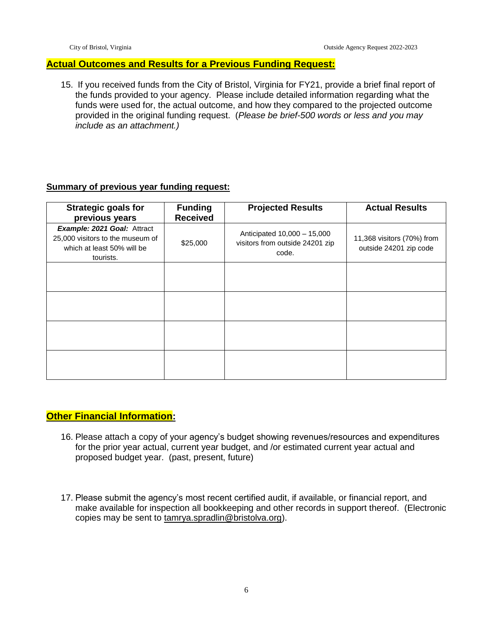#### **Actual Outcomes and Results for a Previous Funding Request:**

15. If you received funds from the City of Bristol, Virginia for FY21, provide a brief final report of the funds provided to your agency. Please include detailed information regarding what the funds were used for, the actual outcome, and how they compared to the projected outcome provided in the original funding request. (*Please be brief-500 words or less and you may include as an attachment.)*

#### **Summary of previous year funding request:**

| <b>Strategic goals for</b><br>previous years                                                               | <b>Funding</b><br><b>Received</b> | <b>Projected Results</b>                                                | <b>Actual Results</b>                                |
|------------------------------------------------------------------------------------------------------------|-----------------------------------|-------------------------------------------------------------------------|------------------------------------------------------|
| Example: 2021 Goal: Attract<br>25,000 visitors to the museum of<br>which at least 50% will be<br>tourists. | \$25,000                          | Anticipated 10,000 - 15,000<br>visitors from outside 24201 zip<br>code. | 11,368 visitors (70%) from<br>outside 24201 zip code |
|                                                                                                            |                                   |                                                                         |                                                      |
|                                                                                                            |                                   |                                                                         |                                                      |
|                                                                                                            |                                   |                                                                         |                                                      |
|                                                                                                            |                                   |                                                                         |                                                      |

### **Other Financial Information:**

- 16. Please attach a copy of your agency's budget showing revenues/resources and expenditures for the prior year actual, current year budget, and /or estimated current year actual and proposed budget year. (past, present, future)
- 17. Please submit the agency's most recent certified audit, if available, or financial report, and make available for inspection all bookkeeping and other records in support thereof. (Electronic copies may be sent to tamrya.spradlin@bristolva.org).